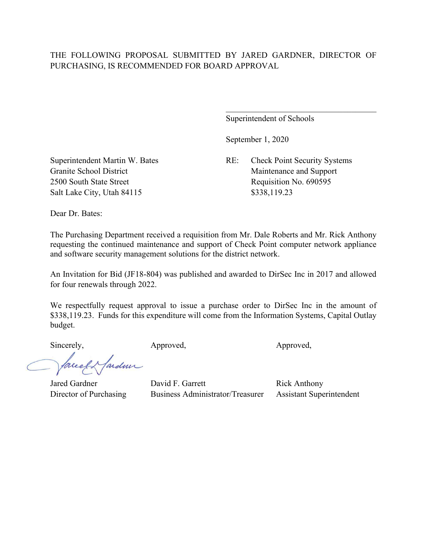## THE FOLLOWING PROPOSAL SUBMITTED BY JARED GARDNER, DIRECTOR OF PURCHASING, IS RECOMMENDED FOR BOARD APPROVAL

Superintendent of Schools

September 1, 2020

Superintendent Martin W. Bates RE: Check Point Security Systems Granite School District Maintenance and Support

2500 South State Street Requisition No. 690595 Salt Lake City, Utah 84115 \$338,119.23

Dear Dr. Bates:

The Purchasing Department received a requisition from Mr. Dale Roberts and Mr. Rick Anthony requesting the continued maintenance and support of Check Point computer network appliance and software security management solutions for the district network.

An Invitation for Bid (JF18-804) was published and awarded to DirSec Inc in 2017 and allowed for four renewals through 2022.

We respectfully request approval to issue a purchase order to DirSec Inc in the amount of \$338,119.23. Funds for this expenditure will come from the Information Systems, Capital Outlay budget.

Sincerely, Approved, Approved, Approved,

ardmi

Jared Gardner David F. Garrett Rick Anthony Director of Purchasing Business Administrator/Treasurer Assistant Superintendent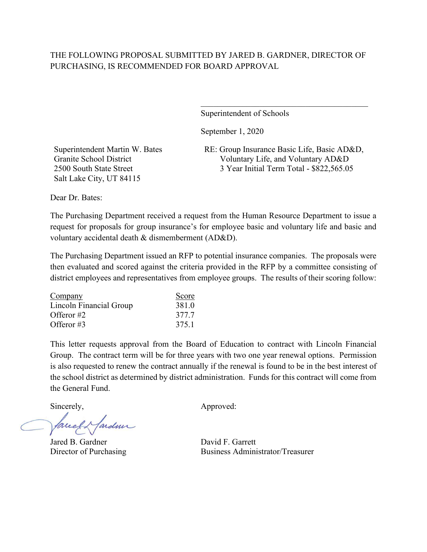## THE FOLLOWING PROPOSAL SUBMITTED BY JARED B. GARDNER, DIRECTOR OF PURCHASING, IS RECOMMENDED FOR BOARD APPROVAL

Superintendent of Schools

September 1, 2020

Superintendent Martin W. Bates Granite School District 2500 South State Street Salt Lake City, UT 84115

RE: Group Insurance Basic Life, Basic AD&D, Voluntary Life, and Voluntary AD&D 3 Year Initial Term Total - \$822,565.05

\_\_\_\_\_\_\_\_\_\_\_\_\_\_\_\_\_\_\_\_\_\_\_\_\_\_\_\_\_\_\_\_\_\_\_\_\_\_\_\_

Dear Dr. Bates:

The Purchasing Department received a request from the Human Resource Department to issue a request for proposals for group insurance's for employee basic and voluntary life and basic and voluntary accidental death & dismemberment (AD&D).

The Purchasing Department issued an RFP to potential insurance companies. The proposals were then evaluated and scored against the criteria provided in the RFP by a committee consisting of district employees and representatives from employee groups. The results of their scoring follow:

| Company                 | Score |
|-------------------------|-------|
| Lincoln Financial Group | 381.0 |
| Offeror $#2$            | 377.7 |
| Offeror $#3$            | 375.1 |

This letter requests approval from the Board of Education to contract with Lincoln Financial Group. The contract term will be for three years with two one year renewal options. Permission is also requested to renew the contract annually if the renewal is found to be in the best interest of the school district as determined by district administration. Funds for this contract will come from the General Fund.

fareel & fardun

Jared B. Gardner David F. Garrett

Sincerely,  $\qquad \qquad \text{Approved:}$ 

Director of Purchasing Business Administrator/Treasurer